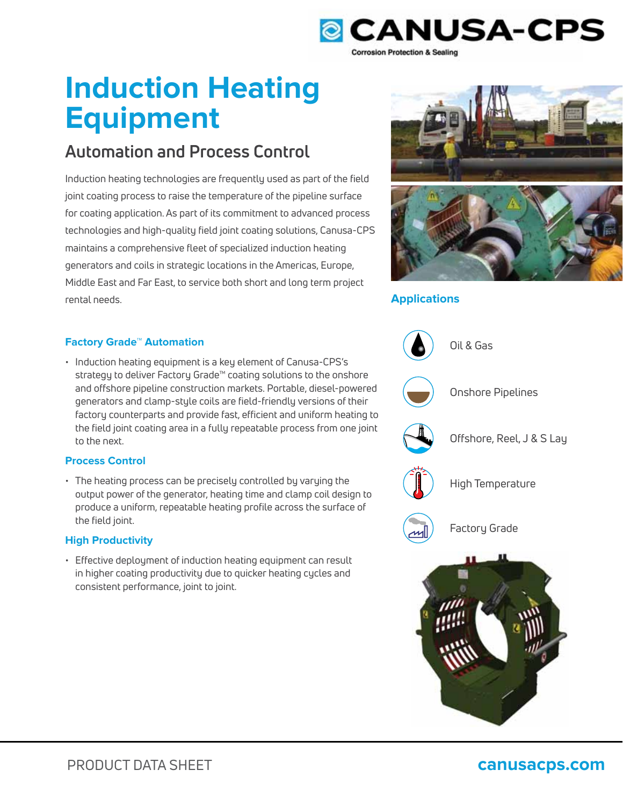

# **Induction Heating Equipment**

# **Automation and Process Control**

Induction heating technologies are frequently used as part of the field joint coating process to raise the temperature of the pipeline surface for coating application. As part of its commitment to advanced process technologies and high-quality field joint coating solutions, Canusa-CPS maintains a comprehensive fleet of specialized induction heating generators and coils in strategic locations in the Americas, Europe, Middle East and Far East, to service both short and long term project rental needs.





## **Applications**



### **Factory Grade™ Automation**

• Induction heating equipment is a key element of Canusa-CPS's strategy to deliver Factory Grade™ coating solutions to the onshore and offshore pipeline construction markets. Portable, diesel-powered generators and clamp-style coils are field-friendly versions of their factory counterparts and provide fast, efficient and uniform heating to the field joint coating area in a fully repeatable process from one joint to the next.

#### **Process Control**

• The heating process can be precisely controlled by varying the output power of the generator, heating time and clamp coil design to produce a uniform, repeatable heating profile across the surface of the field joint.

### **High Productivity**

• Effective deployment of induction heating equipment can result in higher coating productivity due to quicker heating cycles and consistent performance, joint to joint.